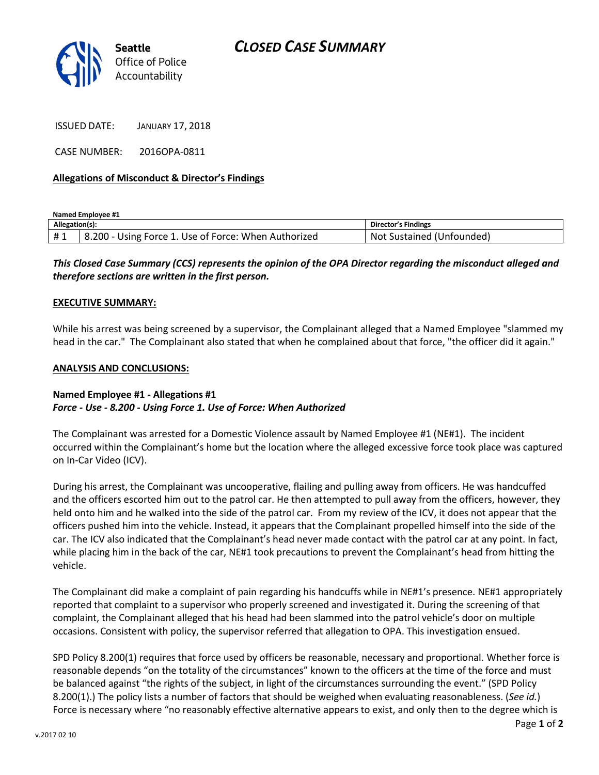

**Seattle**

*Accountability*

ISSUED DATE: JANUARY 17, 2018

CASE NUMBER: 2016OPA-0811

### **Allegations of Misconduct & Director's Findings**

**Named Employee #1**

| Allegation(s): |                                                                     | <b>Director's Findings</b>     |
|----------------|---------------------------------------------------------------------|--------------------------------|
| #1             | ن ا - 200. ن $\,$<br>- Using Force 1. Use of Force: When Authorized | Sustained (Unfounded)<br>. Not |

## *This Closed Case Summary (CCS) represents the opinion of the OPA Director regarding the misconduct alleged and therefore sections are written in the first person.*

#### **EXECUTIVE SUMMARY:**

While his arrest was being screened by a supervisor, the Complainant alleged that a Named Employee "slammed my head in the car." The Complainant also stated that when he complained about that force, "the officer did it again."

### **ANALYSIS AND CONCLUSIONS:**

## **Named Employee #1 - Allegations #1** *Force - Use - 8.200 - Using Force 1. Use of Force: When Authorized*

The Complainant was arrested for a Domestic Violence assault by Named Employee #1 (NE#1). The incident occurred within the Complainant's home but the location where the alleged excessive force took place was captured on In-Car Video (ICV).

During his arrest, the Complainant was uncooperative, flailing and pulling away from officers. He was handcuffed and the officers escorted him out to the patrol car. He then attempted to pull away from the officers, however, they held onto him and he walked into the side of the patrol car. From my review of the ICV, it does not appear that the officers pushed him into the vehicle. Instead, it appears that the Complainant propelled himself into the side of the car. The ICV also indicated that the Complainant's head never made contact with the patrol car at any point. In fact, while placing him in the back of the car, NE#1 took precautions to prevent the Complainant's head from hitting the vehicle.

The Complainant did make a complaint of pain regarding his handcuffs while in NE#1's presence. NE#1 appropriately reported that complaint to a supervisor who properly screened and investigated it. During the screening of that complaint, the Complainant alleged that his head had been slammed into the patrol vehicle's door on multiple occasions. Consistent with policy, the supervisor referred that allegation to OPA. This investigation ensued.

SPD Policy 8.200(1) requires that force used by officers be reasonable, necessary and proportional. Whether force is reasonable depends "on the totality of the circumstances" known to the officers at the time of the force and must be balanced against "the rights of the subject, in light of the circumstances surrounding the event." (SPD Policy 8.200(1).) The policy lists a number of factors that should be weighed when evaluating reasonableness. (*See id.*) Force is necessary where "no reasonably effective alternative appears to exist, and only then to the degree which is